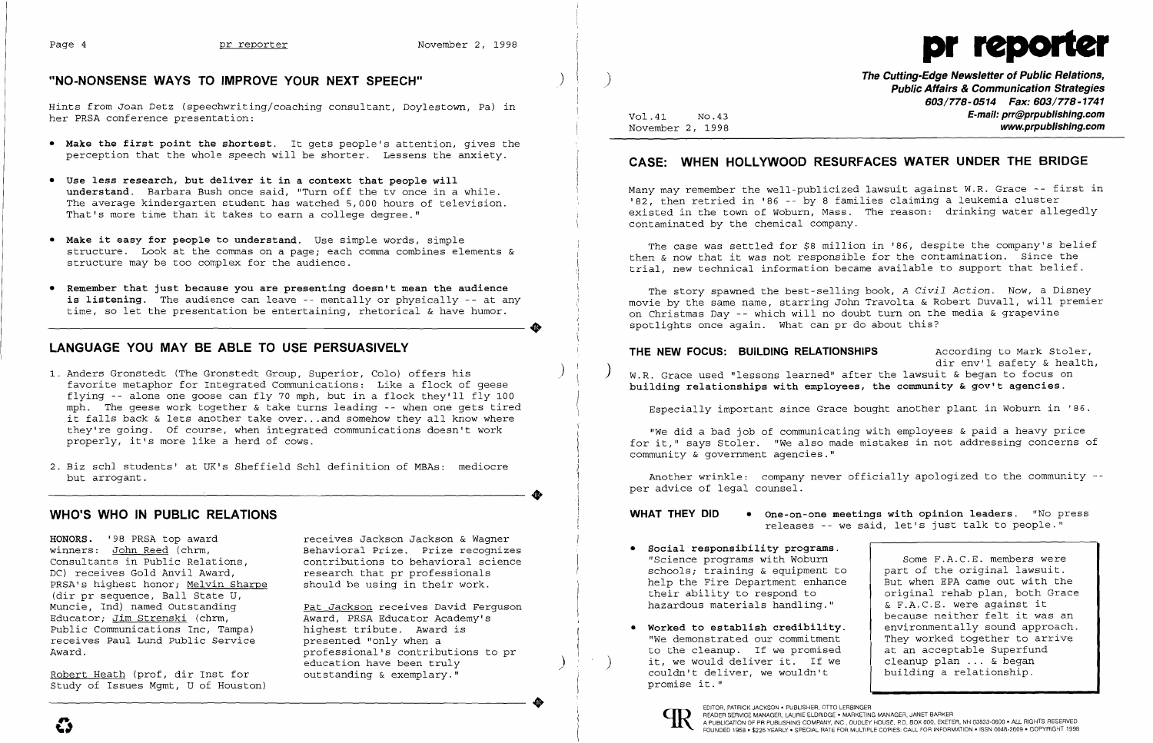

# **"NO-NONSENSE WAYS TO IMPROVE YOUR NEXT SPEECH"** )

Hints from Joan Detz (speechwriting/coaching consultant, Doylestown, Pa) in her PRSA conference presentation:

- **• Make the first point the shortest.** It gets people's attention, gives the perception that the whole speech will be shorter. Lessens the anxiety.
- **• Use less research, but deliver it** *in* **a context that people will understand.** Barbara Bush once said, "Turn off the tv once in a while. The average kindergarten student has watched 5,000 hours of television. That's more time than it takes to earn a college degree."
- **• Make it easy for people to understand.** Use simple words, simple structure. Look at the commas on a page; each comma combines elements  $\&$ structure may be too complex for the audience.
- **• Remember that just because you are presenting doesn't mean the audience is listening.** The audience can leave -- mentally or physically -- at any time, so let the presentation be entertaining, rhetorical & have humor.

Robert Heath (prof, dir Inst for Study of Issues Mgmt, U of Houston) ..

## **LANGUAGE YOU MAY BE ABLE TO USE PERSUASIVELY**

- ) 1. Anders Gronstedt (The Gronstedt Group, Superior, Colo) offers his favorite metaphor for Integrated Communications: Like a flock of geese flying -- alone one goose can fly 70 mph, but in a flock they'll fly 100 mph. The geese work together & take turns leading -- when one gets tired it falls back & lets another take over... and somehow they all know where they're going. Of course, when integrated communications doesn't work properly, it's more like a herd of cows.
- 2. Biz schl students' at UK's Sheffield Schl definition of MBAs: mediocre but arrogant.

..

## **WHO'S WHO IN PUBLIC RELATIONS**

**THE NEW FOCUS: BUILDING RELATIONSHIPS** According to Mark Stoler,<br>dir env'l safety & health, W.R. Grace used "lessons learned" after the lawsuit & began to focus on **building relationships with employees, the community & gov't agencies.** 

**HONORS.** '98 PRSA top award winners: John Reed (chrm, Consultants in Public Relations, DC) receives Gold Anvil Award, PRSA's highest honor; Melvin Sharpe (dir pr sequence, Ball State U, Muncie, Ind) named Outstanding Educator; Jim Strenski (chrm, Public Communications Inc, Tampa) receives Paul Lund Public Service Award.

- **Social responsibility programs.**  "Science programs with Woburn schools; training & equipment to help the Fire Department enhance their ability to respond to hazardous materials handling."
- **Worked to establish credibility.**  "We demonstrated our commitment to the cleanup. If we promised it, we would deliver it. If we couldn't deliver, we wouldn't<br>promise it."



EDITOR, PATRICK JACKSON . PUBLISHER, OTTO LERBINGER<br>EDITOR, PATRICK JACKSON . PUBLISHER, OTTO LERBINGER<br>A PUBLICATION OF PR PUBLISHING COMPANY, INC., DUDLEY HOUSE, R.O. BOX 600, EXETER, NH 03833-0600 . ALL RIGHTS RESERVED READER SERVICE MANAGER, LAURIE ELDRIDGE . MARKETING MANAGER, JANET BARKER<br>A PUBLICATION OF PR PUBLISHING COMPANY, INC., DUDLEY HOUSE, P.O. BOX 600, EXETER, NH 03833-0600 . ALL RIGHTS RESERVED



receives Jackson Jackson & Wagner Behavioral Prize. Prize recognizes contributions to behavioral science research that pr professionals should be using in their work.

Pat Jackson receives David Ferguson Award, PRSA Educator Academy's highest tribute. Award is presented "only when a professional's contributions to pr<br>education have been truly outstanding & exemplary."

)

Vol.41 NO.43 November 2, 1998 **The Cutting-Edge Newsletter of Public Relations, Public Affairs & Communication Strategies 603/778-0514 Fax: 603/778-1741 E-mail: prr@prpublishing.com www.prpublishing.com** 

## **CASE: WHEN HOLLYWOOD RESURFACES WATER UNDER THE BRIDGE**

Many may remember the well-publicized lawsuit against W.R. Grace -- first in '82, then retried in '86 -- by 8 families claiming a leukemia cluster existed in the town of Woburn, Mass. The reason: drinking water allegedly contaminated by the chemical company.

The case was settled for \$8 million in '86, despite the company's belief then & now that it was not responsible for the contamination. Since the trial, new technical information became available to support that belief.

The story spawned the best-selling book, *A Civil Action.* Now, a Disney movie by the same name, starring John Travolta & Robert Duvall, will premier on Christmas Day -- which will no doubt turn on the media & grapevine spotlights once again. What can pr do about this?

Especially important since Grace bought another plant in Woburn in '86.

"We did a bad job of communicating with employees & paid a heavy price for it," says Stoler. "We also made mistakes in not addressing concerns of community & government agencies."

Another wrinkle: company never officially apologized to the community per advice of legal counsel .

**WHAT THEY DID • One-on-one meetings with opinion leaders.** "No press releases -- we said, let's just talk to people."

> Some F.A.C.E. members were part of the original lawsuit. But when EPA came out with the original rehab plan, both Grace & F.A.C.E. were against it because neither felt it was an environmentally sound approach. They worked together to arrive at an acceptable Superfund cleanup plan ... & began building a relationship.